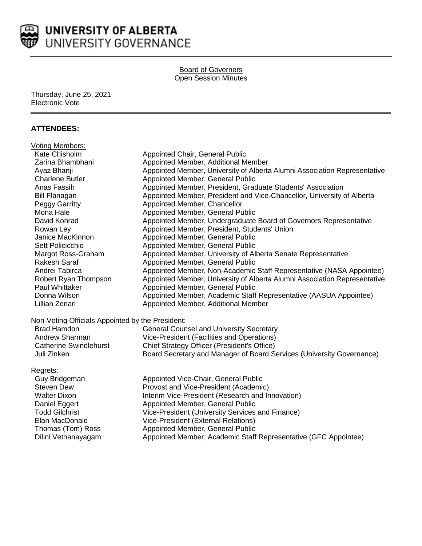

Board of Governors Open Session Minutes

Thursday, June 25, 2021 Electronic Vote

## **ATTENDEES:**

| <b>Voting Members:</b>                           |                                                                           |
|--------------------------------------------------|---------------------------------------------------------------------------|
| Kate Chisholm                                    | Appointed Chair, General Public                                           |
| Zarina Bhambhani                                 | Appointed Member, Additional Member                                       |
| Ayaz Bhanji                                      | Appointed Member, University of Alberta Alumni Association Representative |
| <b>Charlene Butler</b>                           | Appointed Member, General Public                                          |
| Anas Fassih                                      | Appointed Member, President, Graduate Students' Association               |
| <b>Bill Flanagan</b>                             | Appointed Member, President and Vice-Chancellor, University of Alberta    |
| Peggy Garritty                                   | Appointed Member, Chancellor                                              |
| Mona Hale                                        | Appointed Member, General Public                                          |
| David Konrad                                     | Appointed Member, Undergraduate Board of Governors Representative         |
| Rowan Ley                                        | Appointed Member, President, Students' Union                              |
| Janice MacKinnon                                 | Appointed Member, General Public                                          |
| Sett Policicchio                                 | Appointed Member, General Public                                          |
| Margot Ross-Graham                               | Appointed Member, University of Alberta Senate Representative             |
| <b>Rakesh Saraf</b>                              | Appointed Member, General Public                                          |
| Andrei Tabirca                                   | Appointed Member, Non-Academic Staff Representative (NASA Appointee)      |
| Robert Ryan Thompson                             | Appointed Member, University of Alberta Alumni Association Representative |
| Paul Whittaker                                   | Appointed Member, General Public                                          |
| Donna Wilson                                     | Appointed Member, Academic Staff Representative (AASUA Appointee)         |
| Lillian Zenari                                   | Appointed Member, Additional Member                                       |
| Non-Voting Officials Appointed by the President: |                                                                           |
| <b>Brad Hamdon</b>                               | <b>General Counsel and University Secretary</b>                           |
| Andrew Sharman                                   | Vice-President (Facilities and Operations)                                |
| <b>Catherine Swindlehurst</b>                    | Chief Strategy Officer (President's Office)                               |
| Juli Zinken                                      | Board Secretary and Manager of Board Services (University Governance)     |
| Regrets:                                         |                                                                           |
| Guy Bridgeman                                    | Appointed Vice-Chair, General Public                                      |
| <b>Steven Dew</b>                                | Provost and Vice-President (Academic)                                     |
| <b>Walter Dixon</b>                              | Interim Vice-President (Research and Innovation)                          |
| Daniel Eggert                                    | Appointed Member, General Public                                          |
| <b>Todd Gilchrist</b>                            | Vice-President (University Services and Finance)                          |
| Elan MacDonald                                   | Vice-President (External Relations)                                       |
| Thomas (Tom) Ross                                | Appointed Member, General Public                                          |
| Dilini Vethanayagam                              | Appointed Member, Academic Staff Representative (GFC Appointee)           |